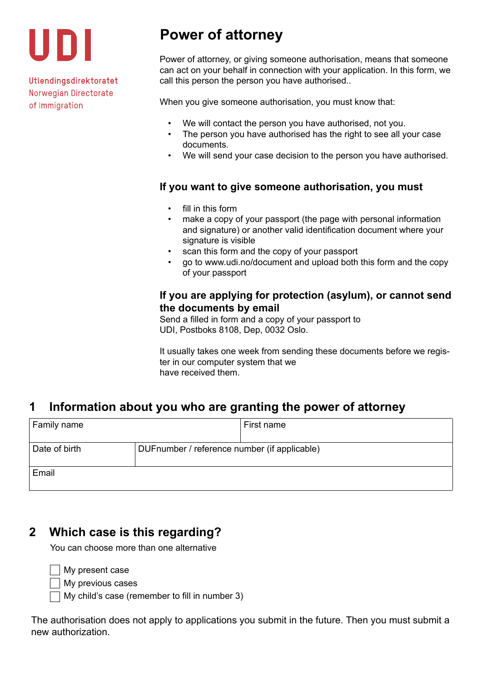

Utlendingsdirektoratet Norwegian Directorate of Immigration

# **Power of attorney**

Power of attorney, or giving someone authorisation, means that someone can act on your behalf in connection with your application. In this form, we call this person the person you have authorised..

When you give someone authorisation, you must know that:

- We will contact the person you have authorised, not you.
- The person you have authorised has the right to see all your case documents.
- We will send your case decision to the person you have authorised.

#### **If you want to give someone authorisation, you must**

- fill in this form
- make a copy of your passport (the page with personal information and signature) or another valid identification document where your signature is visible
- scan this form and the copy of your passport
- go to www.udi.no/document and upload both this form and the copy of your passport

#### **If you are applying for protection (asylum), or cannot send the documents by email**

Send a filled in form and a copy of your passport to UDI, Postboks 8108, Dep, 0032 Oslo.

It usually takes one week from sending these documents before we register in our computer system that we have received them.

## **1 Information about you who are granting the power of attorney**

| Family name   |                                              | First name |
|---------------|----------------------------------------------|------------|
| Date of birth | DUFnumber / reference number (if applicable) |            |
| Email         |                                              |            |

### **2 Which case is this regarding?**

You can choose more than one alternative

**Ny present case** 

**Ny previous cases** 

 $\Box$  My child's case (remember to fill in number 3)

The authorisation does not apply to applications you submit in the future. Then you must submit a new authorization.